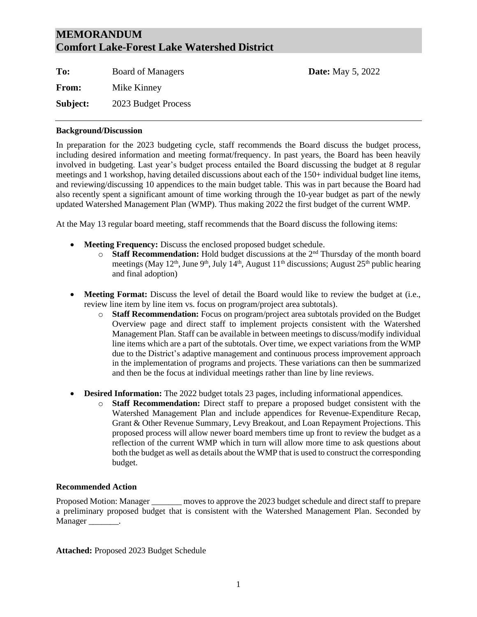## **MEMORANDUM Comfort Lake-Forest Lake Watershed District**

To: Board of Managers **Date:** May 5, 2022 **From:** Mike Kinney **Subject:** 2023 Budget Process

## **Background/Discussion**

In preparation for the 2023 budgeting cycle, staff recommends the Board discuss the budget process, including desired information and meeting format/frequency. In past years, the Board has been heavily involved in budgeting. Last year's budget process entailed the Board discussing the budget at 8 regular meetings and 1 workshop, having detailed discussions about each of the 150+ individual budget line items, and reviewing/discussing 10 appendices to the main budget table. This was in part because the Board had also recently spent a significant amount of time working through the 10-year budget as part of the newly updated Watershed Management Plan (WMP). Thus making 2022 the first budget of the current WMP.

At the May 13 regular board meeting, staff recommends that the Board discuss the following items:

- **Meeting Frequency:** Discuss the enclosed proposed budget schedule.
	- $\circ$  **Staff Recommendation:** Hold budget discussions at the 2<sup>nd</sup> Thursday of the month board meetings (May 12<sup>th</sup>, June 9<sup>th</sup>, July 14<sup>th</sup>, August 11<sup>th</sup> discussions; August 25<sup>th</sup> public hearing and final adoption)
- **Meeting Format:** Discuss the level of detail the Board would like to review the budget at (i.e., review line item by line item vs. focus on program/project area subtotals).
	- o **Staff Recommendation:** Focus on program/project area subtotals provided on the Budget Overview page and direct staff to implement projects consistent with the Watershed Management Plan. Staff can be available in between meetings to discuss/modify individual line items which are a part of the subtotals. Over time, we expect variations from the WMP due to the District's adaptive management and continuous process improvement approach in the implementation of programs and projects. These variations can then be summarized and then be the focus at individual meetings rather than line by line reviews.
- **Desired Information:** The 2022 budget totals 23 pages, including informational appendices.
	- o **Staff Recommendation:** Direct staff to prepare a proposed budget consistent with the Watershed Management Plan and include appendices for Revenue-Expenditure Recap, Grant & Other Revenue Summary, Levy Breakout, and Loan Repayment Projections. This proposed process will allow newer board members time up front to review the budget as a reflection of the current WMP which in turn will allow more time to ask questions about both the budget as well as details about the WMP that is used to construct the corresponding budget.

## **Recommended Action**

Proposed Motion: Manager \_\_\_\_\_\_\_ moves to approve the 2023 budget schedule and direct staff to prepare a preliminary proposed budget that is consistent with the Watershed Management Plan. Seconded by Manager \_\_\_\_\_\_\_\_.

**Attached:** Proposed 2023 Budget Schedule